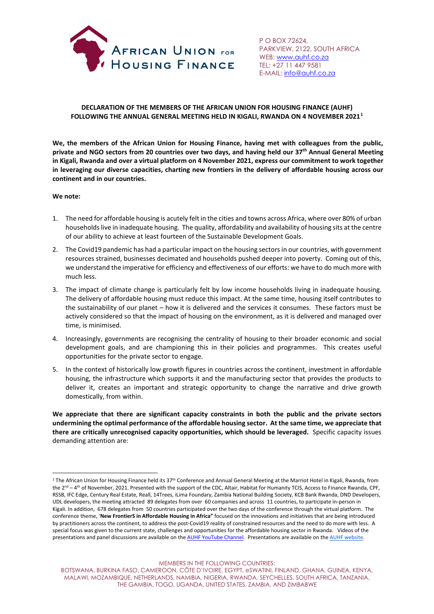

P O BOX 72624, PARKVIEW, 2122, SOUTH AFRICA WEB: <u>www.auhf.co.za</u> TEL: +27 11 447 9581 E-MAIL[: info@auhf.co.za](mailto:info@housingfinanceafrica.org)

## **DECLARATION OF THE MEMBERS OF THE AFRICAN UNION FOR HOUSING FINANCE (AUHF) FOLLOWING THE ANNUAL GENERAL MEETING HELD IN KIGALI, RWANDA ON 4 NOVEMBER 2021[1](#page-0-0)**

**We, the members of the African Union for Housing Finance, having met with colleagues from the public, private and NGO sectors from 20 countries over two days, and having held our 37th Annual General Meeting in Kigali, Rwanda and over a virtual platform on 4 November 2021, express our commitment to work together in leveraging our diverse capacities, charting new frontiers in the delivery of affordable housing across our continent and in our countries.**

### **We note:**

- 1. The need for affordable housing is acutely felt in the cities and towns across Africa, where over 80% of urban households live in inadequate housing. The quality, affordability and availability of housing sits at the centre of our ability to achieve at least fourteen of the Sustainable Development Goals.
- 2. The Covid19 pandemic has had a particular impact on the housing sectors in our countries, with government resources strained, businesses decimated and households pushed deeper into poverty. Coming out of this, we understand the imperative for efficiency and effectiveness of our efforts: we have to do much more with much less.
- 3. The impact of climate change is particularly felt by low income households living in inadequate housing. The delivery of affordable housing must reduce this impact. At the same time, housing itself contributes to the sustainability of our planet – how it is delivered and the services it consumes. These factors must be actively considered so that the impact of housing on the environment, as it is delivered and managed over time, is minimised.
- 4. Increasingly, governments are recognising the centrality of housing to their broader economic and social development goals, and are championing this in their policies and programmes. This creates useful opportunities for the private sector to engage.
- 5. In the context of historically low growth figures in countries across the continent, investment in affordable housing, the infrastructure which supports it and the manufacturing sector that provides the products to deliver it, creates an important and strategic opportunity to change the narrative and drive growth domestically, from within.

**We appreciate that there are significant capacity constraints in both the public and the private sectors undermining the optimal performance of the affordable housing sector. At the same time, we appreciate that there are critically unrecognised capacity opportunities, which should be leveraged.** Specific capacity issues demanding attention are:

MEMBERS IN THE FOLLOWING COUNTRIES:

<span id="page-0-0"></span><sup>&</sup>lt;sup>1</sup> The African Union for Housing Finance held its 37<sup>th</sup> Conference and Annual General Meeting at the Marriot Hotel in Kigali, Rwanda, from the 2<sup>nd</sup> – 4<sup>th</sup> of November, 2021. Presented with the support of the CDC, Altair, Habitat for Humanity TCIS, Access to Finance Rwanda, CPF, RSSB, IFC Edge, Century Real Estate, Reall, 14Trees, iLima Foundary, Zambia National Building Society, KCB Bank Rwanda, DND Developers, UDL developers, the meeting attracted 89 delegates from over 60 companies and across 11 countries, to participate in-person in Kigali. In addition, 678 delegates from 50 countries participated over the two days of the conference through the virtual platform. The conference theme, '**New FrontierS in Affordable Housing in Africa"** focused on the innovations and initiatives that are being introduced by practitioners across the continent, to address the post-Covid19 reality of constrained resources and the need to do more with less. A special focus was given to the current state, challenges and opportunities for the affordable housing sector in Rwanda. Videos of the presentations and panel discussions are available on the [AUHF YouTube Channel.](https://www.youtube.com/channel/UCfQke_kMH-Y0QvxMCn40KIg/videos) Presentations are available on the [AUHF website.](http://www.auhf.co.za/)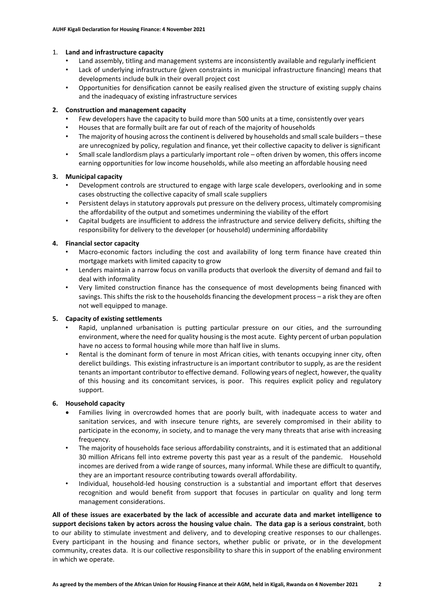## 1. **Land and infrastructure capacity**

- Land assembly, titling and management systems are inconsistently available and regularly inefficient
- Lack of underlying infrastructure (given constraints in municipal infrastructure financing) means that developments include bulk in their overall project cost
- Opportunities for densification cannot be easily realised given the structure of existing supply chains and the inadequacy of existing infrastructure services

## **2. Construction and management capacity**

- Few developers have the capacity to build more than 500 units at a time, consistently over years
- Houses that are formally built are far out of reach of the majority of households
- The majority of housing across the continent is delivered by households and small scale builders these are unrecognized by policy, regulation and finance, yet their collective capacity to deliver is significant
- Small scale landlordism plays a particularly important role often driven by women, this offers income earning opportunities for low income households, while also meeting an affordable housing need

# **3. Municipal capacity**

- Development controls are structured to engage with large scale developers, overlooking and in some cases obstructing the collective capacity of small scale suppliers
- Persistent delays in statutory approvals put pressure on the delivery process, ultimately compromising the affordability of the output and sometimes undermining the viability of the effort
- Capital budgets are insufficient to address the infrastructure and service delivery deficits, shifting the responsibility for delivery to the developer (or household) undermining affordability

# **4. Financial sector capacity**

- Macro-economic factors including the cost and availability of long term finance have created thin mortgage markets with limited capacity to grow
- Lenders maintain a narrow focus on vanilla products that overlook the diversity of demand and fail to deal with informality
- Very limited construction finance has the consequence of most developments being financed with savings. This shifts the risk to the households financing the development process - a risk they are often not well equipped to manage.

## **5. Capacity of existing settlements**

- Rapid, unplanned urbanisation is putting particular pressure on our cities, and the surrounding environment, where the need for quality housing is the most acute. Eighty percent of urban population have no access to formal housing while more than half live in slums.
- Rental is the dominant form of tenure in most African cities, with tenants occupying inner city, often derelict buildings. This existing infrastructure is an important contributor to supply, as are the resident tenants an important contributor to effective demand. Following years of neglect, however, the quality of this housing and its concomitant services, is poor. This requires explicit policy and regulatory support.

## **6. Household capacity**

- Families living in overcrowded homes that are poorly built, with inadequate access to water and sanitation services, and with insecure tenure rights, are severely compromised in their ability to participate in the economy, in society, and to manage the very many threats that arise with increasing frequency.
- The majority of households face serious affordability constraints, and it is estimated that an additional 30 million Africans fell into extreme poverty this past year as a result of the pandemic. Household incomes are derived from a wide range of sources, many informal. While these are difficult to quantify, they are an important resource contributing towards overall affordability.
- Individual, household-led housing construction is a substantial and important effort that deserves recognition and would benefit from support that focuses in particular on quality and long term management considerations.

**All of these issues are exacerbated by the lack of accessible and accurate data and market intelligence to support decisions taken by actors across the housing value chain. The data gap is a serious constraint**, both to our ability to stimulate investment and delivery, and to developing creative responses to our challenges. Every participant in the housing and finance sectors, whether public or private, or in the development community, creates data. It is our collective responsibility to share this in support of the enabling environment in which we operate.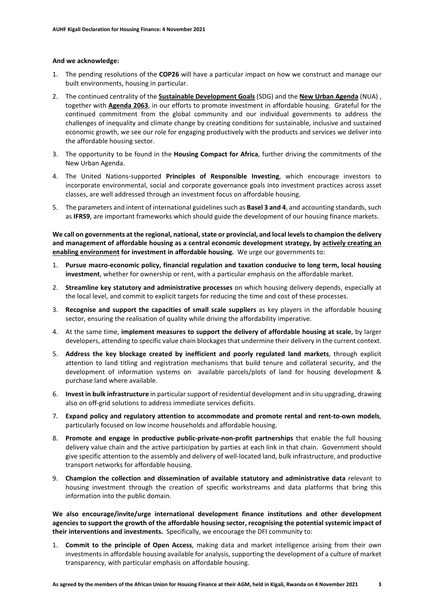#### **And we acknowledge:**

- 1. The pending resolutions of the **COP26** will have a particular impact on how we construct and manage our built environments, housing in particular.
- 2. The continued centrality of the **[Sustainable Development Goals](https://sustainabledevelopment.un.org/?menu=1300)** (SDG) and the **[New Urban Agenda](http://habitat3.org/the-new-urban-agenda/)** (NUA) , together with **Agenda 2063**, in our efforts to promote investment in affordable housing. Grateful for the continued commitment from the global community and our individual governments to address the challenges of inequality and climate change by creating conditions for sustainable, inclusive and sustained economic growth, we see our role for engaging productively with the products and services we deliver into the affordable housing sector.
- 3. The opportunity to be found in the **Housing Compact for Africa**, further driving the commitments of the New Urban Agenda.
- 4. The United Nations-supported **Principles of Responsible Investing**, which encourage investors to incorporate environmental, social and corporate governance goals into investment practices across asset classes, are well addressed through an investment focus on affordable housing.
- 5. The parameters and intent of international guidelines such as **Basel 3 and 4**, and accounting standards, such as **IFRS9**, are important frameworks which should guide the development of our housing finance markets.

**We call on governments at the regional, national, state or provincial, and local levels to champion the delivery and management of affordable housing as a central economic development strategy, by actively creating an enabling environment for investment in affordable housing.** We urge our governments to:

- 1. **Pursue macro-economic policy, financial regulation and taxation conducive to long term, local housing investment**, whether for ownership or rent, with a particular emphasis on the affordable market.
- 2. **Streamline key statutory and administrative processes** on which housing delivery depends, especially at the local level, and commit to explicit targets for reducing the time and cost of these processes.
- 3. **Recognise and support the capacities of small scale suppliers** as key players in the affordable housing sector, ensuring the realisation of quality while driving the affordability imperative.
- 4. At the same time, **implement measures to support the delivery of affordable housing at scale**, by larger developers, attending to specific value chain blockages that undermine their delivery in the current context.
- 5. **Address the key blockage created by inefficient and poorly regulated land markets**, through explicit attention to land titling and registration mechanisms that build tenure and collateral security, and the development of information systems on available parcels/plots of land for housing development & purchase land where available.
- 6. **Invest in bulk infrastructure** in particular support of residential development and in situ upgrading, drawing also on off-grid solutions to address immediate services deficits.
- 7. **Expand policy and regulatory attention to accommodate and promote rental and rent-to-own models**, particularly focused on low income households and affordable housing.
- 8. **Promote and engage in productive public-private-non-profit partnerships** that enable the full housing delivery value chain and the active participation by parties at each link in that chain. Government should give specific attention to the assembly and delivery of well-located land, bulk infrastructure, and productive transport networks for affordable housing.
- 9. **Champion the collection and dissemination of available statutory and administrative data** relevant to housing investment through the creation of specific workstreams and data platforms that bring this information into the public domain.

**We also encourage/invite/urge international development finance institutions and other development agencies to support the growth of the affordable housing sector, recognising the potential systemic impact of their interventions and investments.** Specifically, we encourage the DFI community to:

1. **Commit to the principle of Open Access**, making data and market intelligence arising from their own investments in affordable housing available for analysis, supporting the development of a culture of market transparency, with particular emphasis on affordable housing.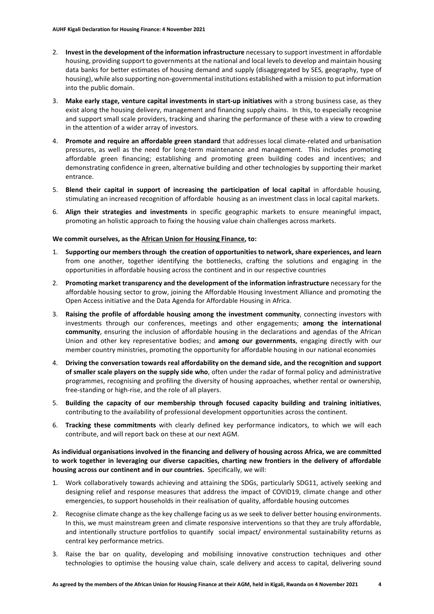- 2. **Invest in the development of the information infrastructure** necessary to support investment in affordable housing, providing support to governments at the national and local levels to develop and maintain housing data banks for better estimates of housing demand and supply (disaggregated by SES, geography, type of housing), while also supporting non-governmental institutions established with a mission to put information into the public domain.
- 3. **Make early stage, venture capital investments in start-up initiatives** with a strong business case, as they exist along the housing delivery, management and financing supply chains. In this, to especially recognise and support small scale providers, tracking and sharing the performance of these with a view to crowding in the attention of a wider array of investors.
- 4. **Promote and require an affordable green standard** that addresses local climate-related and urbanisation pressures, as well as the need for long-term maintenance and management. This includes promoting affordable green financing; establishing and promoting green building codes and incentives; and demonstrating confidence in green, alternative building and other technologies by supporting their market entrance.
- 5. **Blend their capital in support of increasing the participation of local capital** in affordable housing, stimulating an increased recognition of affordable housing as an investment class in local capital markets.
- 6. **Align their strategies and investments** in specific geographic markets to ensure meaningful impact, promoting an holistic approach to fixing the housing value chain challenges across markets.

### **We commit ourselves, as the African Union for Housing Finance, to:**

- 1. **Supporting our members through the creation of opportunities to network, share experiences, and learn**  from one another, together identifying the bottlenecks, crafting the solutions and engaging in the opportunities in affordable housing across the continent and in our respective countries
- 2. **Promoting market transparency and the development of the information infrastructure** necessary for the affordable housing sector to grow, joining the Affordable Housing Investment Alliance and promoting the Open Access initiative and the Data Agenda for Affordable Housing in Africa.
- 3. **Raising the profile of affordable housing among the investment community**, connecting investors with investments through our conferences, meetings and other engagements; **among the international community**, ensuring the inclusion of affordable housing in the declarations and agendas of the African Union and other key representative bodies; and **among our governments**, engaging directly with our member country ministries, promoting the opportunity for affordable housing in our national economies
- 4. **Driving the conversation towards real affordability on the demand side, and the recognition and support of smaller scale players on the supply side who**, often under the radar of formal policy and administrative programmes, recognising and profiling the diversity of housing approaches, whether rental or ownership, free-standing or high-rise, and the role of all players.
- 5. **Building the capacity of our membership through focused capacity building and training initiatives**, contributing to the availability of professional development opportunities across the continent.
- 6. **Tracking these commitments** with clearly defined key performance indicators, to which we will each contribute, and will report back on these at our next AGM.

**As individual organisations involved in the financing and delivery of housing across Africa, we are committed to work together in leveraging our diverse capacities, charting new frontiers in the delivery of affordable housing across our continent and in our countries.** Specifically, we will:

- 1. Work collaboratively towards achieving and attaining the SDGs, particularly SDG11, actively seeking and designing relief and response measures that address the impact of COVID19, climate change and other emergencies, to support households in their realisation of quality, affordable housing outcomes
- 2. Recognise climate change as the key challenge facing us as we seek to deliver better housing environments. In this, we must mainstream green and climate responsive interventions so that they are truly affordable, and intentionally structure portfolios to quantify social impact/ environmental sustainability returns as central key performance metrics.
- 3. Raise the bar on quality, developing and mobilising innovative construction techniques and other technologies to optimise the housing value chain, scale delivery and access to capital, delivering sound